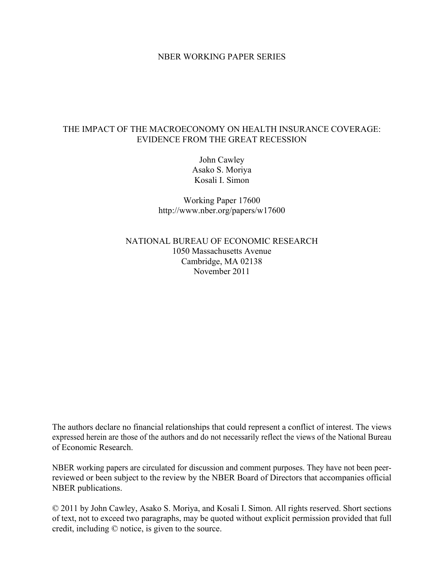## NBER WORKING PAPER SERIES

# THE IMPACT OF THE MACROECONOMY ON HEALTH INSURANCE COVERAGE: EVIDENCE FROM THE GREAT RECESSION

John Cawley Asako S. Moriya Kosali I. Simon

Working Paper 17600 http://www.nber.org/papers/w17600

NATIONAL BUREAU OF ECONOMIC RESEARCH 1050 Massachusetts Avenue Cambridge, MA 02138 November 2011

The authors declare no financial relationships that could represent a conflict of interest. The views expressed herein are those of the authors and do not necessarily reflect the views of the National Bureau of Economic Research.

NBER working papers are circulated for discussion and comment purposes. They have not been peerreviewed or been subject to the review by the NBER Board of Directors that accompanies official NBER publications.

© 2011 by John Cawley, Asako S. Moriya, and Kosali I. Simon. All rights reserved. Short sections of text, not to exceed two paragraphs, may be quoted without explicit permission provided that full credit, including © notice, is given to the source.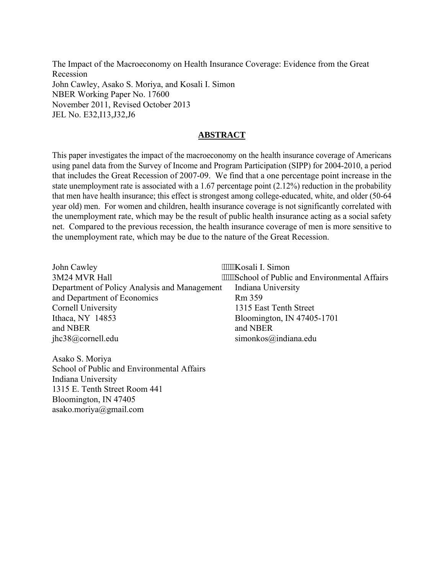The Impact of the Macroeconomy on Health Insurance Coverage: Evidence from the Great Recession John Cawley, Asako S. Moriya, and Kosali I. Simon NBER Working Paper No. 17600 November 2011, Revised October 2013 JEL No. E32,I13,J32,J6

# **ABSTRACT**

This paper investigates the impact of the macroeconomy on the health insurance coverage of Americans using panel data from the Survey of Income and Program Participation (SIPP) for 2004-2010, a period that includes the Great Recession of 2007-09. We find that a one percentage point increase in the state unemployment rate is associated with a 1.67 percentage point (2.12%) reduction in the probability that men have health insurance; this effect is strongest among college-educated, white, and older (50-64 year old) men. For women and children, health insurance coverage is not significantly correlated with the unemployment rate, which may be the result of public health insurance acting as a social safety net. Compared to the previous recession, the health insurance coverage of men is more sensitive to the unemployment rate, which may be due to the nature of the Great Recession.

| John Cawley                                  | """"Kosali I. Simon                            |
|----------------------------------------------|------------------------------------------------|
| 3M24 MVR Hall                                | """"School of Public and Environmental Affairs |
| Department of Policy Analysis and Management | Indiana University                             |
| and Department of Economics                  | Rm 359                                         |
| Cornell University                           | 1315 East Tenth Street                         |
| Ithaca, NY 14853                             | Bloomington, IN 47405-1701                     |
| and NBER                                     | and NBER                                       |
| jhc38@cornell.edu                            | simonkos $\omega$ indiana.edu                  |
|                                              |                                                |

Asako S. Moriya School of Public and Environmental Affairs Indiana University 1315 E. Tenth Street Room 441 Bloomington, IN 47405 asako.moriya@gmail.com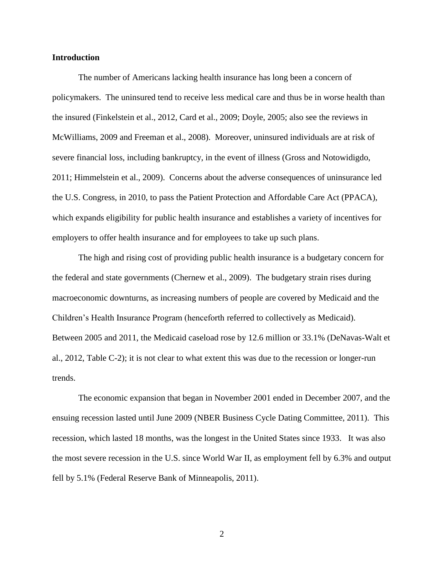### **Introduction**

The number of Americans lacking health insurance has long been a concern of policymakers. The uninsured tend to receive less medical care and thus be in worse health than the insured (Finkelstein et al., 2012, Card et al., 2009; Doyle, 2005; also see the reviews in McWilliams, 2009 and Freeman et al., 2008). Moreover, uninsured individuals are at risk of severe financial loss, including bankruptcy, in the event of illness (Gross and Notowidigdo, 2011; Himmelstein et al., 2009). Concerns about the adverse consequences of uninsurance led the U.S. Congress, in 2010, to pass the Patient Protection and Affordable Care Act (PPACA), which expands eligibility for public health insurance and establishes a variety of incentives for employers to offer health insurance and for employees to take up such plans.

The high and rising cost of providing public health insurance is a budgetary concern for the federal and state governments (Chernew et al., 2009). The budgetary strain rises during macroeconomic downturns, as increasing numbers of people are covered by Medicaid and the Children's Health Insurance Program (henceforth referred to collectively as Medicaid). Between 2005 and 2011, the Medicaid caseload rose by 12.6 million or 33.1% (DeNavas-Walt et al., 2012, Table C-2); it is not clear to what extent this was due to the recession or longer-run trends.

The economic expansion that began in November 2001 ended in December 2007, and the ensuing recession lasted until June 2009 (NBER Business Cycle Dating Committee, 2011). This recession, which lasted 18 months, was the longest in the United States since 1933. It was also the most severe recession in the U.S. since World War II, as employment fell by 6.3% and output fell by 5.1% (Federal Reserve Bank of Minneapolis, 2011).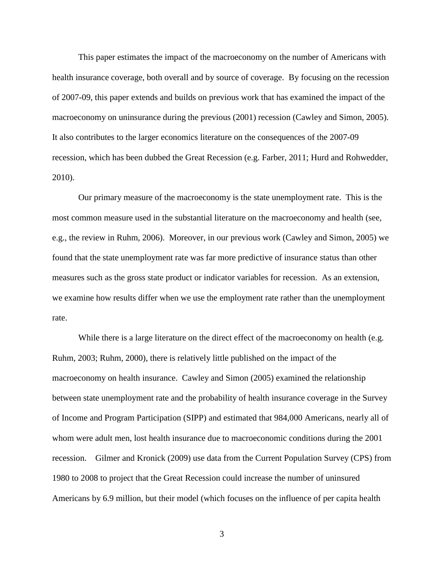This paper estimates the impact of the macroeconomy on the number of Americans with health insurance coverage, both overall and by source of coverage. By focusing on the recession of 2007-09, this paper extends and builds on previous work that has examined the impact of the macroeconomy on uninsurance during the previous (2001) recession (Cawley and Simon, 2005). It also contributes to the larger economics literature on the consequences of the 2007-09 recession, which has been dubbed the Great Recession (e.g. Farber, 2011; Hurd and Rohwedder, 2010).

Our primary measure of the macroeconomy is the state unemployment rate. This is the most common measure used in the substantial literature on the macroeconomy and health (see, e.g., the review in Ruhm, 2006). Moreover, in our previous work (Cawley and Simon, 2005) we found that the state unemployment rate was far more predictive of insurance status than other measures such as the gross state product or indicator variables for recession. As an extension, we examine how results differ when we use the employment rate rather than the unemployment rate.

While there is a large literature on the direct effect of the macroeconomy on health (e.g. Ruhm, 2003; Ruhm, 2000), there is relatively little published on the impact of the macroeconomy on health insurance. Cawley and Simon (2005) examined the relationship between state unemployment rate and the probability of health insurance coverage in the Survey of Income and Program Participation (SIPP) and estimated that 984,000 Americans, nearly all of whom were adult men, lost health insurance due to macroeconomic conditions during the 2001 recession. Gilmer and Kronick (2009) use data from the Current Population Survey (CPS) from 1980 to 2008 to project that the Great Recession could increase the number of uninsured Americans by 6.9 million, but their model (which focuses on the influence of per capita health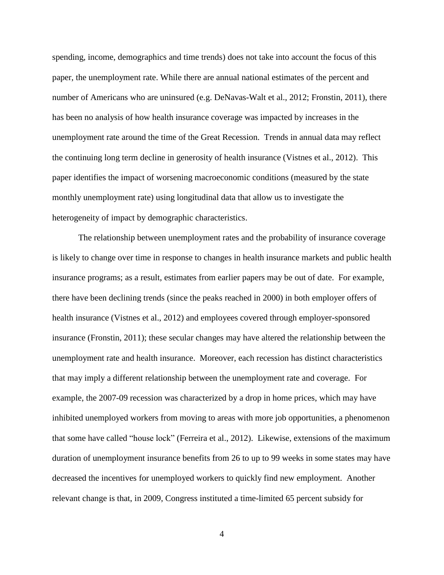spending, income, demographics and time trends) does not take into account the focus of this paper, the unemployment rate. While there are annual national estimates of the percent and number of Americans who are uninsured (e.g. DeNavas-Walt et al., 2012; Fronstin, 2011), there has been no analysis of how health insurance coverage was impacted by increases in the unemployment rate around the time of the Great Recession. Trends in annual data may reflect the continuing long term decline in generosity of health insurance (Vistnes et al., 2012). This paper identifies the impact of worsening macroeconomic conditions (measured by the state monthly unemployment rate) using longitudinal data that allow us to investigate the heterogeneity of impact by demographic characteristics.

The relationship between unemployment rates and the probability of insurance coverage is likely to change over time in response to changes in health insurance markets and public health insurance programs; as a result, estimates from earlier papers may be out of date. For example, there have been declining trends (since the peaks reached in 2000) in both employer offers of health insurance (Vistnes et al., 2012) and employees covered through employer-sponsored insurance (Fronstin, 2011); these secular changes may have altered the relationship between the unemployment rate and health insurance. Moreover, each recession has distinct characteristics that may imply a different relationship between the unemployment rate and coverage. For example, the 2007-09 recession was characterized by a drop in home prices, which may have inhibited unemployed workers from moving to areas with more job opportunities, a phenomenon that some have called "house lock" (Ferreira et al., 2012). Likewise, extensions of the maximum duration of unemployment insurance benefits from 26 to up to 99 weeks in some states may have decreased the incentives for unemployed workers to quickly find new employment. Another relevant change is that, in 2009, Congress instituted a time-limited 65 percent subsidy for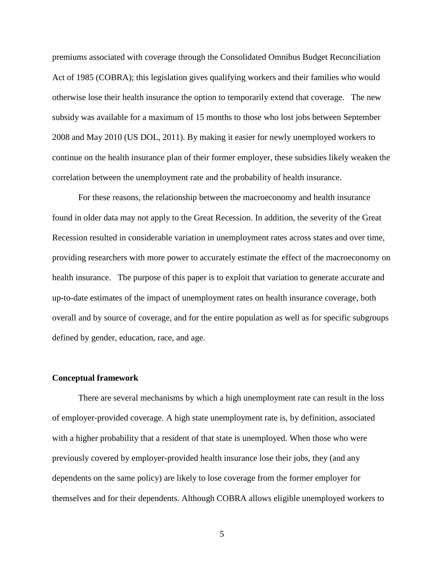premiums associated with coverage through the Consolidated Omnibus Budget Reconciliation Act of 1985 (COBRA); this legislation gives qualifying workers and their families who would otherwise lose their health insurance the option to temporarily extend that coverage. The new subsidy was available for a maximum of 15 months to those who lost jobs between September 2008 and May 2010 (US DOL, 2011). By making it easier for newly unemployed workers to continue on the health insurance plan of their former employer, these subsidies likely weaken the correlation between the unemployment rate and the probability of health insurance.

For these reasons, the relationship between the macroeconomy and health insurance found in older data may not apply to the Great Recession. In addition, the severity of the Great Recession resulted in considerable variation in unemployment rates across states and over time, providing researchers with more power to accurately estimate the effect of the macroeconomy on health insurance. The purpose of this paper is to exploit that variation to generate accurate and up-to-date estimates of the impact of unemployment rates on health insurance coverage, both overall and by source of coverage, and for the entire population as well as for specific subgroups defined by gender, education, race, and age.

#### **Conceptual framework**

There are several mechanisms by which a high unemployment rate can result in the loss of employer-provided coverage. A high state unemployment rate is, by definition, associated with a higher probability that a resident of that state is unemployed. When those who were previously covered by employer-provided health insurance lose their jobs, they (and any dependents on the same policy) are likely to lose coverage from the former employer for themselves and for their dependents. Although COBRA allows eligible unemployed workers to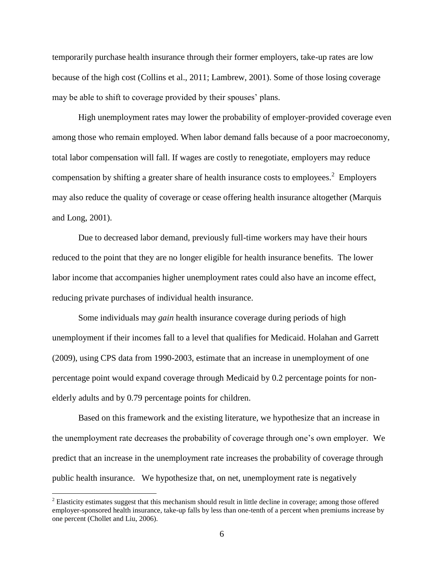temporarily purchase health insurance through their former employers, take-up rates are low because of the high cost (Collins et al., 2011; Lambrew, 2001). Some of those losing coverage may be able to shift to coverage provided by their spouses' plans.

High unemployment rates may lower the probability of employer-provided coverage even among those who remain employed. When labor demand falls because of a poor macroeconomy, total labor compensation will fall. If wages are costly to renegotiate, employers may reduce compensation by shifting a greater share of health insurance costs to employees.<sup>2</sup> Employers may also reduce the quality of coverage or cease offering health insurance altogether (Marquis and Long, 2001).

Due to decreased labor demand, previously full-time workers may have their hours reduced to the point that they are no longer eligible for health insurance benefits. The lower labor income that accompanies higher unemployment rates could also have an income effect, reducing private purchases of individual health insurance.

Some individuals may *gain* health insurance coverage during periods of high unemployment if their incomes fall to a level that qualifies for Medicaid. Holahan and Garrett (2009), using CPS data from 1990-2003, estimate that an increase in unemployment of one percentage point would expand coverage through Medicaid by 0.2 percentage points for nonelderly adults and by 0.79 percentage points for children.

Based on this framework and the existing literature, we hypothesize that an increase in the unemployment rate decreases the probability of coverage through one's own employer. We predict that an increase in the unemployment rate increases the probability of coverage through public health insurance. We hypothesize that, on net, unemployment rate is negatively

 $2^2$  Elasticity estimates suggest that this mechanism should result in little decline in coverage; among those offered employer-sponsored health insurance, take-up falls by less than one-tenth of a percent when premiums increase by one percent (Chollet and Liu, 2006).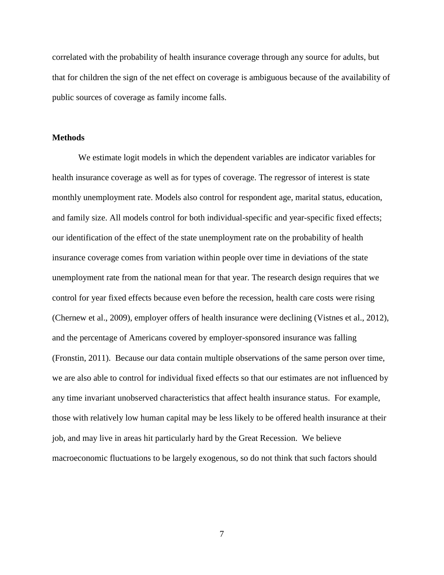correlated with the probability of health insurance coverage through any source for adults, but that for children the sign of the net effect on coverage is ambiguous because of the availability of public sources of coverage as family income falls.

### **Methods**

We estimate logit models in which the dependent variables are indicator variables for health insurance coverage as well as for types of coverage. The regressor of interest is state monthly unemployment rate. Models also control for respondent age, marital status, education, and family size. All models control for both individual-specific and year-specific fixed effects; our identification of the effect of the state unemployment rate on the probability of health insurance coverage comes from variation within people over time in deviations of the state unemployment rate from the national mean for that year. The research design requires that we control for year fixed effects because even before the recession, health care costs were rising (Chernew et al., 2009), employer offers of health insurance were declining (Vistnes et al., 2012), and the percentage of Americans covered by employer-sponsored insurance was falling (Fronstin, 2011). Because our data contain multiple observations of the same person over time, we are also able to control for individual fixed effects so that our estimates are not influenced by any time invariant unobserved characteristics that affect health insurance status. For example, those with relatively low human capital may be less likely to be offered health insurance at their job, and may live in areas hit particularly hard by the Great Recession. We believe macroeconomic fluctuations to be largely exogenous, so do not think that such factors should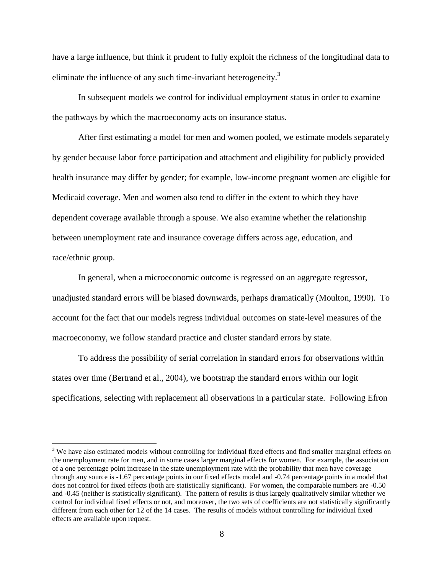have a large influence, but think it prudent to fully exploit the richness of the longitudinal data to eliminate the influence of any such time-invariant heterogeneity.<sup>3</sup>

In subsequent models we control for individual employment status in order to examine the pathways by which the macroeconomy acts on insurance status.

After first estimating a model for men and women pooled, we estimate models separately by gender because labor force participation and attachment and eligibility for publicly provided health insurance may differ by gender; for example, low-income pregnant women are eligible for Medicaid coverage. Men and women also tend to differ in the extent to which they have dependent coverage available through a spouse. We also examine whether the relationship between unemployment rate and insurance coverage differs across age, education, and race/ethnic group.

In general, when a microeconomic outcome is regressed on an aggregate regressor, unadjusted standard errors will be biased downwards, perhaps dramatically (Moulton, 1990). To account for the fact that our models regress individual outcomes on state-level measures of the macroeconomy, we follow standard practice and cluster standard errors by state.

To address the possibility of serial correlation in standard errors for observations within states over time (Bertrand et al., 2004), we bootstrap the standard errors within our logit specifications, selecting with replacement all observations in a particular state. Following Efron

 $3$  We have also estimated models without controlling for individual fixed effects and find smaller marginal effects on the unemployment rate for men, and in some cases larger marginal effects for women. For example, the association of a one percentage point increase in the state unemployment rate with the probability that men have coverage through any source is -1.67 percentage points in our fixed effects model and -0.74 percentage points in a model that does not control for fixed effects (both are statistically significant). For women, the comparable numbers are -0.50 and -0.45 (neither is statistically significant). The pattern of results is thus largely qualitatively similar whether we control for individual fixed effects or not, and moreover, the two sets of coefficients are not statistically significantly different from each other for 12 of the 14 cases. The results of models without controlling for individual fixed effects are available upon request.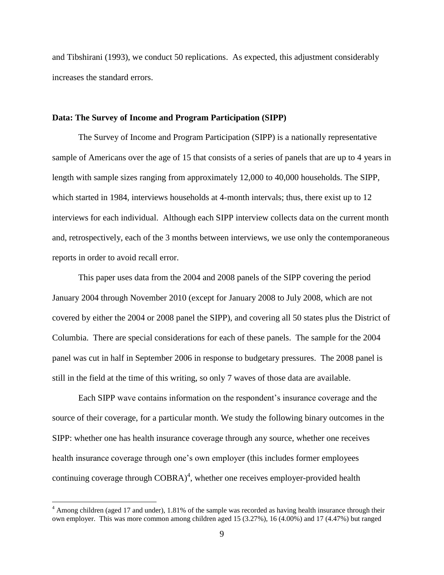and Tibshirani (1993), we conduct 50 replications. As expected, this adjustment considerably increases the standard errors.

### **Data: The Survey of Income and Program Participation (SIPP)**

The Survey of Income and Program Participation (SIPP) is a nationally representative sample of Americans over the age of 15 that consists of a series of panels that are up to 4 years in length with sample sizes ranging from approximately 12,000 to 40,000 households. The SIPP, which started in 1984, interviews households at 4-month intervals; thus, there exist up to 12 interviews for each individual. Although each SIPP interview collects data on the current month and, retrospectively, each of the 3 months between interviews, we use only the contemporaneous reports in order to avoid recall error.

This paper uses data from the 2004 and 2008 panels of the SIPP covering the period January 2004 through November 2010 (except for January 2008 to July 2008, which are not covered by either the 2004 or 2008 panel the SIPP), and covering all 50 states plus the District of Columbia. There are special considerations for each of these panels. The sample for the 2004 panel was cut in half in September 2006 in response to budgetary pressures. The 2008 panel is still in the field at the time of this writing, so only 7 waves of those data are available.

Each SIPP wave contains information on the respondent's insurance coverage and the source of their coverage, for a particular month. We study the following binary outcomes in the SIPP: whether one has health insurance coverage through any source, whether one receives health insurance coverage through one's own employer (this includes former employees continuing coverage through  $\text{COBRA}^4$ , whether one receives employer-provided health

 $4$  Among children (aged 17 and under), 1.81% of the sample was recorded as having health insurance through their own employer. This was more common among children aged 15 (3.27%), 16 (4.00%) and 17 (4.47%) but ranged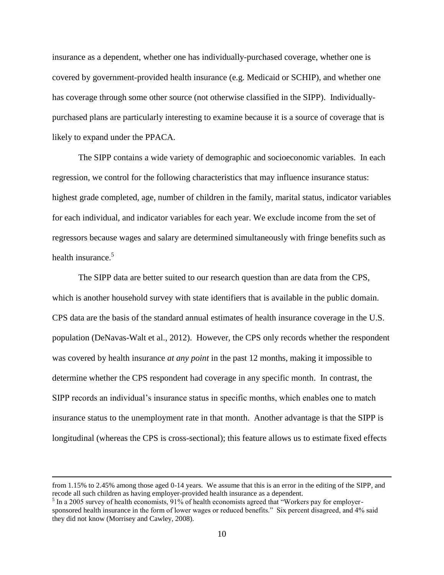insurance as a dependent, whether one has individually-purchased coverage, whether one is covered by government-provided health insurance (e.g. Medicaid or SCHIP), and whether one has coverage through some other source (not otherwise classified in the SIPP). Individuallypurchased plans are particularly interesting to examine because it is a source of coverage that is likely to expand under the PPACA.

The SIPP contains a wide variety of demographic and socioeconomic variables. In each regression, we control for the following characteristics that may influence insurance status: highest grade completed, age, number of children in the family, marital status, indicator variables for each individual, and indicator variables for each year. We exclude income from the set of regressors because wages and salary are determined simultaneously with fringe benefits such as health insurance.<sup>5</sup>

The SIPP data are better suited to our research question than are data from the CPS, which is another household survey with state identifiers that is available in the public domain. CPS data are the basis of the standard annual estimates of health insurance coverage in the U.S. population (DeNavas-Walt et al., 2012). However, the CPS only records whether the respondent was covered by health insurance *at any point* in the past 12 months, making it impossible to determine whether the CPS respondent had coverage in any specific month. In contrast, the SIPP records an individual's insurance status in specific months, which enables one to match insurance status to the unemployment rate in that month. Another advantage is that the SIPP is longitudinal (whereas the CPS is cross-sectional); this feature allows us to estimate fixed effects

from 1.15% to 2.45% among those aged 0-14 years. We assume that this is an error in the editing of the SIPP, and recode all such children as having employer-provided health insurance as a dependent.

<sup>&</sup>lt;sup>5</sup> In a 2005 survey of health economists, 91% of health economists agreed that "Workers pay for employersponsored health insurance in the form of lower wages or reduced benefits." Six percent disagreed, and 4% said they did not know (Morrisey and Cawley, 2008).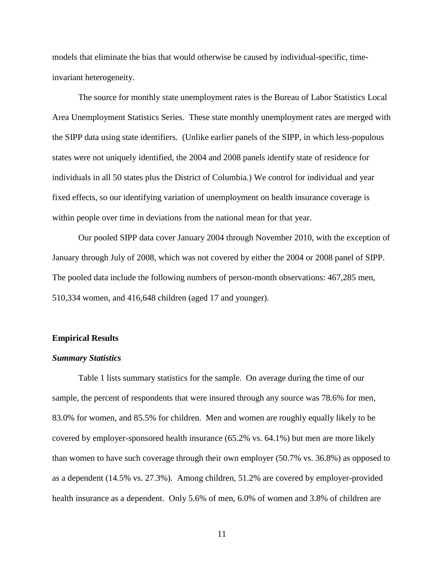models that eliminate the bias that would otherwise be caused by individual-specific, timeinvariant heterogeneity.

The source for monthly state unemployment rates is the Bureau of Labor Statistics Local Area Unemployment Statistics Series. These state monthly unemployment rates are merged with the SIPP data using state identifiers. (Unlike earlier panels of the SIPP, in which less-populous states were not uniquely identified, the 2004 and 2008 panels identify state of residence for individuals in all 50 states plus the District of Columbia.) We control for individual and year fixed effects, so our identifying variation of unemployment on health insurance coverage is within people over time in deviations from the national mean for that year.

Our pooled SIPP data cover January 2004 through November 2010, with the exception of January through July of 2008, which was not covered by either the 2004 or 2008 panel of SIPP. The pooled data include the following numbers of person-month observations: 467,285 men, 510,334 women, and 416,648 children (aged 17 and younger).

### **Empirical Results**

## *Summary Statistics*

Table 1 lists summary statistics for the sample. On average during the time of our sample, the percent of respondents that were insured through any source was 78.6% for men, 83.0% for women, and 85.5% for children. Men and women are roughly equally likely to be covered by employer-sponsored health insurance (65.2% vs. 64.1%) but men are more likely than women to have such coverage through their own employer (50.7% vs. 36.8%) as opposed to as a dependent (14.5% vs. 27.3%). Among children, 51.2% are covered by employer-provided health insurance as a dependent. Only 5.6% of men, 6.0% of women and 3.8% of children are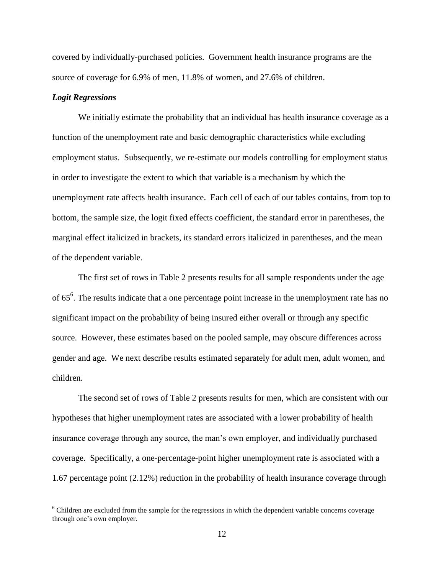covered by individually-purchased policies. Government health insurance programs are the source of coverage for 6.9% of men, 11.8% of women, and 27.6% of children.

## *Logit Regressions*

 $\overline{a}$ 

We initially estimate the probability that an individual has health insurance coverage as a function of the unemployment rate and basic demographic characteristics while excluding employment status. Subsequently, we re-estimate our models controlling for employment status in order to investigate the extent to which that variable is a mechanism by which the unemployment rate affects health insurance. Each cell of each of our tables contains, from top to bottom, the sample size, the logit fixed effects coefficient, the standard error in parentheses, the marginal effect italicized in brackets, its standard errors italicized in parentheses, and the mean of the dependent variable.

The first set of rows in Table 2 presents results for all sample respondents under the age of  $65^6$ . The results indicate that a one percentage point increase in the unemployment rate has no significant impact on the probability of being insured either overall or through any specific source. However, these estimates based on the pooled sample, may obscure differences across gender and age. We next describe results estimated separately for adult men, adult women, and children.

The second set of rows of Table 2 presents results for men, which are consistent with our hypotheses that higher unemployment rates are associated with a lower probability of health insurance coverage through any source, the man's own employer, and individually purchased coverage. Specifically, a one-percentage-point higher unemployment rate is associated with a 1.67 percentage point (2.12%) reduction in the probability of health insurance coverage through

<sup>&</sup>lt;sup>6</sup> Children are excluded from the sample for the regressions in which the dependent variable concerns coverage through one's own employer.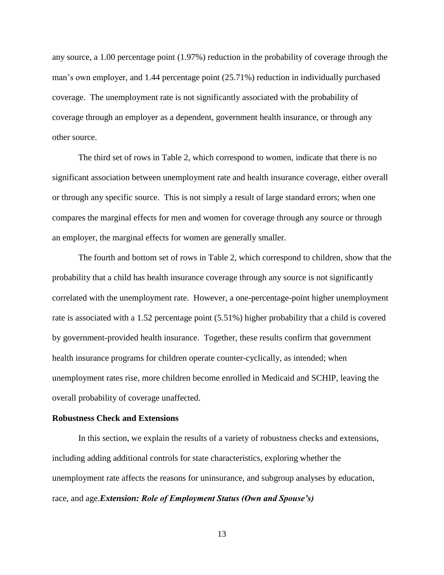any source, a 1.00 percentage point (1.97%) reduction in the probability of coverage through the man's own employer, and 1.44 percentage point (25.71%) reduction in individually purchased coverage. The unemployment rate is not significantly associated with the probability of coverage through an employer as a dependent, government health insurance, or through any other source.

The third set of rows in Table 2, which correspond to women, indicate that there is no significant association between unemployment rate and health insurance coverage, either overall or through any specific source. This is not simply a result of large standard errors; when one compares the marginal effects for men and women for coverage through any source or through an employer, the marginal effects for women are generally smaller.

The fourth and bottom set of rows in Table 2, which correspond to children, show that the probability that a child has health insurance coverage through any source is not significantly correlated with the unemployment rate. However, a one-percentage-point higher unemployment rate is associated with a 1.52 percentage point (5.51%) higher probability that a child is covered by government-provided health insurance. Together, these results confirm that government health insurance programs for children operate counter-cyclically, as intended; when unemployment rates rise, more children become enrolled in Medicaid and SCHIP, leaving the overall probability of coverage unaffected.

### **Robustness Check and Extensions**

 In this section, we explain the results of a variety of robustness checks and extensions, including adding additional controls for state characteristics, exploring whether the unemployment rate affects the reasons for uninsurance, and subgroup analyses by education, race, and age.*Extension: Role of Employment Status (Own and Spouse's)*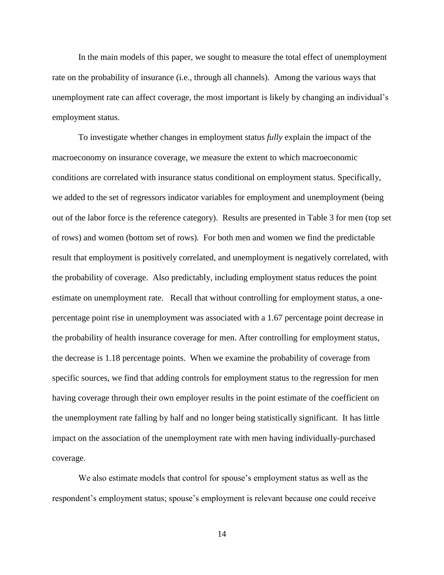In the main models of this paper, we sought to measure the total effect of unemployment rate on the probability of insurance (i.e., through all channels). Among the various ways that unemployment rate can affect coverage, the most important is likely by changing an individual's employment status.

To investigate whether changes in employment status *fully* explain the impact of the macroeconomy on insurance coverage, we measure the extent to which macroeconomic conditions are correlated with insurance status conditional on employment status. Specifically, we added to the set of regressors indicator variables for employment and unemployment (being out of the labor force is the reference category). Results are presented in Table 3 for men (top set of rows) and women (bottom set of rows). For both men and women we find the predictable result that employment is positively correlated, and unemployment is negatively correlated, with the probability of coverage. Also predictably, including employment status reduces the point estimate on unemployment rate. Recall that without controlling for employment status, a onepercentage point rise in unemployment was associated with a 1.67 percentage point decrease in the probability of health insurance coverage for men. After controlling for employment status, the decrease is 1.18 percentage points. When we examine the probability of coverage from specific sources, we find that adding controls for employment status to the regression for men having coverage through their own employer results in the point estimate of the coefficient on the unemployment rate falling by half and no longer being statistically significant. It has little impact on the association of the unemployment rate with men having individually-purchased coverage.

We also estimate models that control for spouse's employment status as well as the respondent's employment status; spouse's employment is relevant because one could receive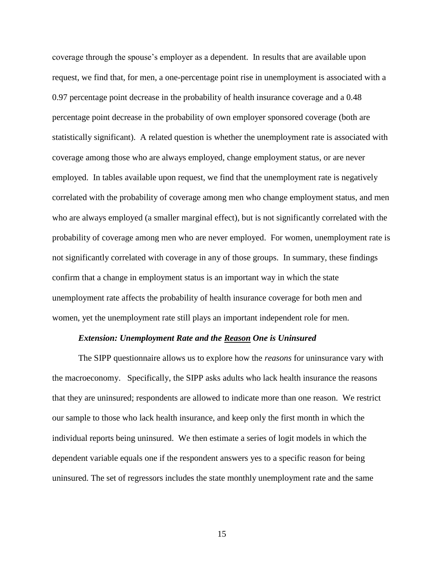coverage through the spouse's employer as a dependent. In results that are available upon request, we find that, for men, a one-percentage point rise in unemployment is associated with a 0.97 percentage point decrease in the probability of health insurance coverage and a 0.48 percentage point decrease in the probability of own employer sponsored coverage (both are statistically significant). A related question is whether the unemployment rate is associated with coverage among those who are always employed, change employment status, or are never employed. In tables available upon request, we find that the unemployment rate is negatively correlated with the probability of coverage among men who change employment status, and men who are always employed (a smaller marginal effect), but is not significantly correlated with the probability of coverage among men who are never employed. For women, unemployment rate is not significantly correlated with coverage in any of those groups. In summary, these findings confirm that a change in employment status is an important way in which the state unemployment rate affects the probability of health insurance coverage for both men and women, yet the unemployment rate still plays an important independent role for men.

### *Extension: Unemployment Rate and the Reason One is Uninsured*

The SIPP questionnaire allows us to explore how the *reasons* for uninsurance vary with the macroeconomy. Specifically, the SIPP asks adults who lack health insurance the reasons that they are uninsured; respondents are allowed to indicate more than one reason. We restrict our sample to those who lack health insurance, and keep only the first month in which the individual reports being uninsured. We then estimate a series of logit models in which the dependent variable equals one if the respondent answers yes to a specific reason for being uninsured. The set of regressors includes the state monthly unemployment rate and the same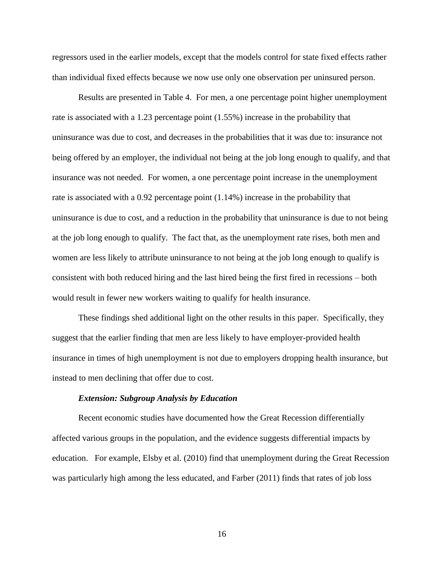regressors used in the earlier models, except that the models control for state fixed effects rather than individual fixed effects because we now use only one observation per uninsured person.

Results are presented in Table 4. For men, a one percentage point higher unemployment rate is associated with a 1.23 percentage point (1.55%) increase in the probability that uninsurance was due to cost, and decreases in the probabilities that it was due to: insurance not being offered by an employer, the individual not being at the job long enough to qualify, and that insurance was not needed. For women, a one percentage point increase in the unemployment rate is associated with a 0.92 percentage point (1.14%) increase in the probability that uninsurance is due to cost, and a reduction in the probability that uninsurance is due to not being at the job long enough to qualify. The fact that, as the unemployment rate rises, both men and women are less likely to attribute uninsurance to not being at the job long enough to qualify is consistent with both reduced hiring and the last hired being the first fired in recessions – both would result in fewer new workers waiting to qualify for health insurance.

These findings shed additional light on the other results in this paper. Specifically, they suggest that the earlier finding that men are less likely to have employer-provided health insurance in times of high unemployment is not due to employers dropping health insurance, but instead to men declining that offer due to cost.

#### *Extension: Subgroup Analysis by Education*

Recent economic studies have documented how the Great Recession differentially affected various groups in the population, and the evidence suggests differential impacts by education. For example, Elsby et al. (2010) find that unemployment during the Great Recession was particularly high among the less educated, and Farber (2011) finds that rates of job loss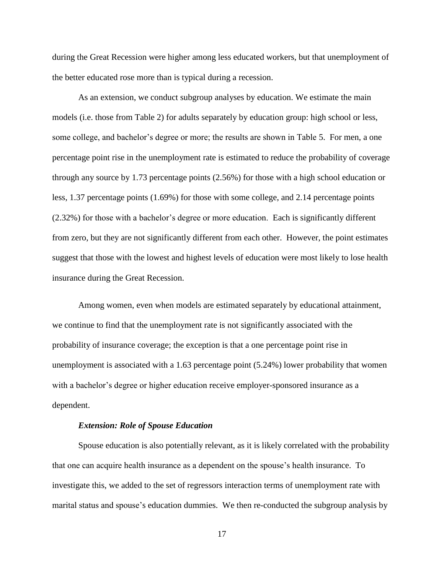during the Great Recession were higher among less educated workers, but that unemployment of the better educated rose more than is typical during a recession.

As an extension, we conduct subgroup analyses by education. We estimate the main models (i.e. those from Table 2) for adults separately by education group: high school or less, some college, and bachelor's degree or more; the results are shown in Table 5. For men, a one percentage point rise in the unemployment rate is estimated to reduce the probability of coverage through any source by 1.73 percentage points (2.56%) for those with a high school education or less, 1.37 percentage points (1.69%) for those with some college, and 2.14 percentage points (2.32%) for those with a bachelor's degree or more education. Each is significantly different from zero, but they are not significantly different from each other. However, the point estimates suggest that those with the lowest and highest levels of education were most likely to lose health insurance during the Great Recession.

Among women, even when models are estimated separately by educational attainment, we continue to find that the unemployment rate is not significantly associated with the probability of insurance coverage; the exception is that a one percentage point rise in unemployment is associated with a 1.63 percentage point (5.24%) lower probability that women with a bachelor's degree or higher education receive employer-sponsored insurance as a dependent.

## *Extension: Role of Spouse Education*

Spouse education is also potentially relevant, as it is likely correlated with the probability that one can acquire health insurance as a dependent on the spouse's health insurance. To investigate this, we added to the set of regressors interaction terms of unemployment rate with marital status and spouse's education dummies. We then re-conducted the subgroup analysis by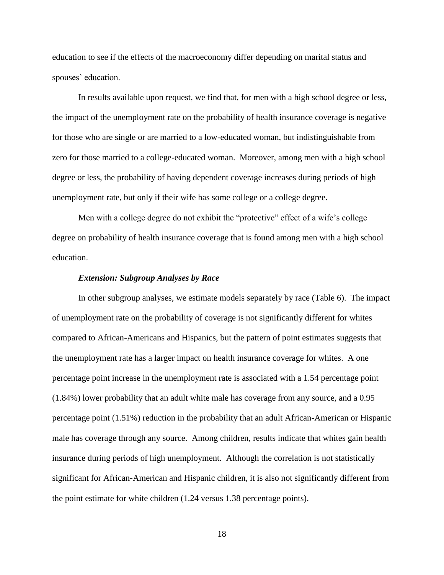education to see if the effects of the macroeconomy differ depending on marital status and spouses' education.

In results available upon request, we find that, for men with a high school degree or less, the impact of the unemployment rate on the probability of health insurance coverage is negative for those who are single or are married to a low-educated woman, but indistinguishable from zero for those married to a college-educated woman. Moreover, among men with a high school degree or less, the probability of having dependent coverage increases during periods of high unemployment rate, but only if their wife has some college or a college degree.

Men with a college degree do not exhibit the "protective" effect of a wife's college degree on probability of health insurance coverage that is found among men with a high school education.

### *Extension: Subgroup Analyses by Race*

In other subgroup analyses, we estimate models separately by race (Table 6). The impact of unemployment rate on the probability of coverage is not significantly different for whites compared to African-Americans and Hispanics, but the pattern of point estimates suggests that the unemployment rate has a larger impact on health insurance coverage for whites. A one percentage point increase in the unemployment rate is associated with a 1.54 percentage point (1.84%) lower probability that an adult white male has coverage from any source, and a 0.95 percentage point (1.51%) reduction in the probability that an adult African-American or Hispanic male has coverage through any source. Among children, results indicate that whites gain health insurance during periods of high unemployment. Although the correlation is not statistically significant for African-American and Hispanic children, it is also not significantly different from the point estimate for white children (1.24 versus 1.38 percentage points).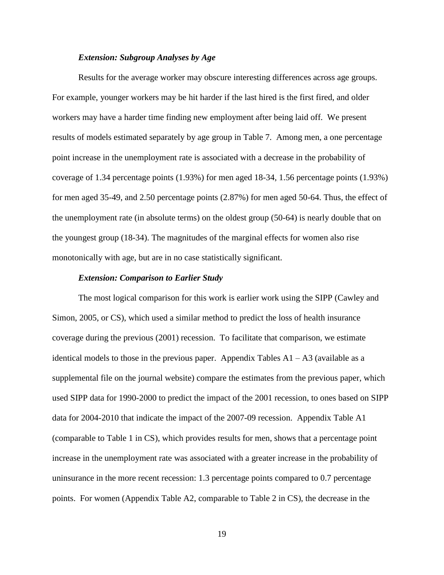## *Extension: Subgroup Analyses by Age*

Results for the average worker may obscure interesting differences across age groups. For example, younger workers may be hit harder if the last hired is the first fired, and older workers may have a harder time finding new employment after being laid off. We present results of models estimated separately by age group in Table 7. Among men, a one percentage point increase in the unemployment rate is associated with a decrease in the probability of coverage of 1.34 percentage points (1.93%) for men aged 18-34, 1.56 percentage points (1.93%) for men aged 35-49, and 2.50 percentage points (2.87%) for men aged 50-64. Thus, the effect of the unemployment rate (in absolute terms) on the oldest group (50-64) is nearly double that on the youngest group (18-34). The magnitudes of the marginal effects for women also rise monotonically with age, but are in no case statistically significant.

#### *Extension: Comparison to Earlier Study*

 The most logical comparison for this work is earlier work using the SIPP (Cawley and Simon, 2005, or CS), which used a similar method to predict the loss of health insurance coverage during the previous (2001) recession. To facilitate that comparison, we estimate identical models to those in the previous paper. Appendix Tables  $A1 - A3$  (available as a supplemental file on the journal website) compare the estimates from the previous paper, which used SIPP data for 1990-2000 to predict the impact of the 2001 recession, to ones based on SIPP data for 2004-2010 that indicate the impact of the 2007-09 recession. Appendix Table A1 (comparable to Table 1 in CS), which provides results for men, shows that a percentage point increase in the unemployment rate was associated with a greater increase in the probability of uninsurance in the more recent recession: 1.3 percentage points compared to 0.7 percentage points. For women (Appendix Table A2, comparable to Table 2 in CS), the decrease in the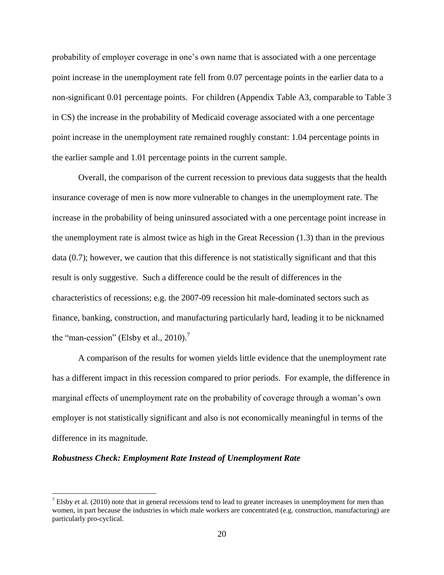probability of employer coverage in one's own name that is associated with a one percentage point increase in the unemployment rate fell from 0.07 percentage points in the earlier data to a non-significant 0.01 percentage points. For children (Appendix Table A3, comparable to Table 3 in CS) the increase in the probability of Medicaid coverage associated with a one percentage point increase in the unemployment rate remained roughly constant: 1.04 percentage points in the earlier sample and 1.01 percentage points in the current sample.

Overall, the comparison of the current recession to previous data suggests that the health insurance coverage of men is now more vulnerable to changes in the unemployment rate. The increase in the probability of being uninsured associated with a one percentage point increase in the unemployment rate is almost twice as high in the Great Recession (1.3) than in the previous data (0.7); however, we caution that this difference is not statistically significant and that this result is only suggestive. Such a difference could be the result of differences in the characteristics of recessions; e.g. the 2007-09 recession hit male-dominated sectors such as finance, banking, construction, and manufacturing particularly hard, leading it to be nicknamed the "man-cession" (Elsby et al., 2010).<sup>7</sup>

A comparison of the results for women yields little evidence that the unemployment rate has a different impact in this recession compared to prior periods. For example, the difference in marginal effects of unemployment rate on the probability of coverage through a woman's own employer is not statistically significant and also is not economically meaningful in terms of the difference in its magnitude.

#### *Robustness Check: Employment Rate Instead of Unemployment Rate*

 $^7$  Elsby et al. (2010) note that in general recessions tend to lead to greater increases in unemployment for men than women, in part because the industries in which male workers are concentrated (e.g. construction, manufacturing) are particularly pro-cyclical.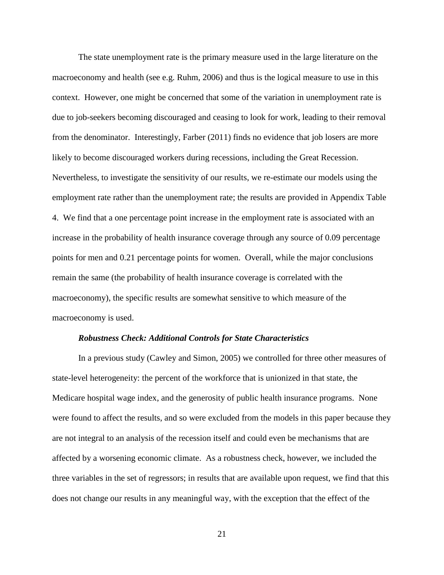The state unemployment rate is the primary measure used in the large literature on the macroeconomy and health (see e.g. Ruhm, 2006) and thus is the logical measure to use in this context. However, one might be concerned that some of the variation in unemployment rate is due to job-seekers becoming discouraged and ceasing to look for work, leading to their removal from the denominator. Interestingly, Farber (2011) finds no evidence that job losers are more likely to become discouraged workers during recessions, including the Great Recession. Nevertheless, to investigate the sensitivity of our results, we re-estimate our models using the employment rate rather than the unemployment rate; the results are provided in Appendix Table 4. We find that a one percentage point increase in the employment rate is associated with an increase in the probability of health insurance coverage through any source of 0.09 percentage points for men and 0.21 percentage points for women. Overall, while the major conclusions remain the same (the probability of health insurance coverage is correlated with the macroeconomy), the specific results are somewhat sensitive to which measure of the macroeconomy is used.

#### *Robustness Check: Additional Controls for State Characteristics*

In a previous study (Cawley and Simon, 2005) we controlled for three other measures of state-level heterogeneity: the percent of the workforce that is unionized in that state, the Medicare hospital wage index, and the generosity of public health insurance programs. None were found to affect the results, and so were excluded from the models in this paper because they are not integral to an analysis of the recession itself and could even be mechanisms that are affected by a worsening economic climate. As a robustness check, however, we included the three variables in the set of regressors; in results that are available upon request, we find that this does not change our results in any meaningful way, with the exception that the effect of the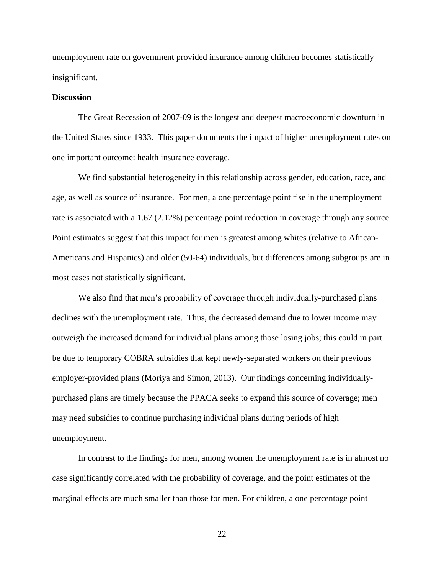unemployment rate on government provided insurance among children becomes statistically insignificant.

## **Discussion**

The Great Recession of 2007-09 is the longest and deepest macroeconomic downturn in the United States since 1933. This paper documents the impact of higher unemployment rates on one important outcome: health insurance coverage.

We find substantial heterogeneity in this relationship across gender, education, race, and age, as well as source of insurance. For men, a one percentage point rise in the unemployment rate is associated with a 1.67 (2.12%) percentage point reduction in coverage through any source. Point estimates suggest that this impact for men is greatest among whites (relative to African-Americans and Hispanics) and older (50-64) individuals, but differences among subgroups are in most cases not statistically significant.

We also find that men's probability of coverage through individually-purchased plans declines with the unemployment rate. Thus, the decreased demand due to lower income may outweigh the increased demand for individual plans among those losing jobs; this could in part be due to temporary COBRA subsidies that kept newly-separated workers on their previous employer-provided plans (Moriya and Simon, 2013). Our findings concerning individuallypurchased plans are timely because the PPACA seeks to expand this source of coverage; men may need subsidies to continue purchasing individual plans during periods of high unemployment.

In contrast to the findings for men, among women the unemployment rate is in almost no case significantly correlated with the probability of coverage, and the point estimates of the marginal effects are much smaller than those for men. For children, a one percentage point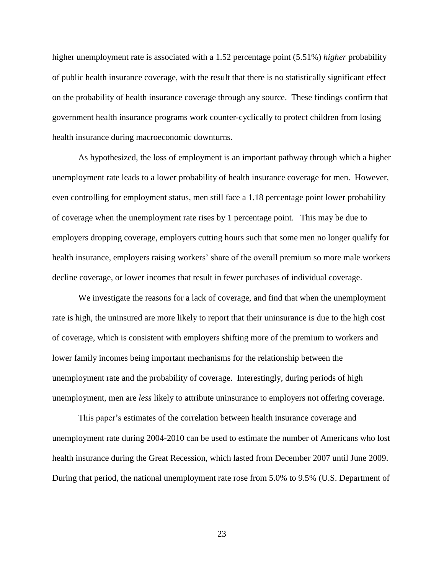higher unemployment rate is associated with a 1.52 percentage point (5.51%) *higher* probability of public health insurance coverage, with the result that there is no statistically significant effect on the probability of health insurance coverage through any source. These findings confirm that government health insurance programs work counter-cyclically to protect children from losing health insurance during macroeconomic downturns.

As hypothesized, the loss of employment is an important pathway through which a higher unemployment rate leads to a lower probability of health insurance coverage for men. However, even controlling for employment status, men still face a 1.18 percentage point lower probability of coverage when the unemployment rate rises by 1 percentage point. This may be due to employers dropping coverage, employers cutting hours such that some men no longer qualify for health insurance, employers raising workers' share of the overall premium so more male workers decline coverage, or lower incomes that result in fewer purchases of individual coverage.

We investigate the reasons for a lack of coverage, and find that when the unemployment rate is high, the uninsured are more likely to report that their uninsurance is due to the high cost of coverage, which is consistent with employers shifting more of the premium to workers and lower family incomes being important mechanisms for the relationship between the unemployment rate and the probability of coverage. Interestingly, during periods of high unemployment, men are *less* likely to attribute uninsurance to employers not offering coverage.

This paper's estimates of the correlation between health insurance coverage and unemployment rate during 2004-2010 can be used to estimate the number of Americans who lost health insurance during the Great Recession, which lasted from December 2007 until June 2009. During that period, the national unemployment rate rose from 5.0% to 9.5% (U.S. Department of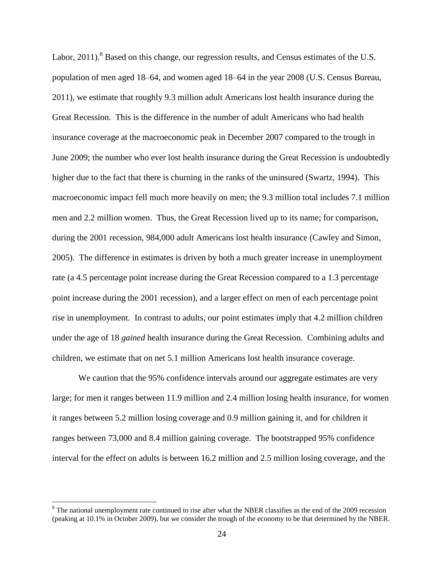Labor,  $2011$ ).<sup>8</sup> Based on this change, our regression results, and Census estimates of the U.S. population of men aged 18–64, and women aged 18–64 in the year 2008 (U.S. Census Bureau, 2011), we estimate that roughly 9.3 million adult Americans lost health insurance during the Great Recession. This is the difference in the number of adult Americans who had health insurance coverage at the macroeconomic peak in December 2007 compared to the trough in June 2009; the number who ever lost health insurance during the Great Recession is undoubtedly higher due to the fact that there is churning in the ranks of the uninsured (Swartz, 1994). This macroeconomic impact fell much more heavily on men; the 9.3 million total includes 7.1 million men and 2.2 million women. Thus, the Great Recession lived up to its name; for comparison, during the 2001 recession, 984,000 adult Americans lost health insurance (Cawley and Simon, 2005). The difference in estimates is driven by both a much greater increase in unemployment rate (a 4.5 percentage point increase during the Great Recession compared to a 1.3 percentage point increase during the 2001 recession), and a larger effect on men of each percentage point rise in unemployment. In contrast to adults, our point estimates imply that 4.2 million children under the age of 18 *gained* health insurance during the Great Recession. Combining adults and children, we estimate that on net 5.1 million Americans lost health insurance coverage.

We caution that the 95% confidence intervals around our aggregate estimates are very large; for men it ranges between 11.9 million and 2.4 million losing health insurance, for women it ranges between 5.2 million losing coverage and 0.9 million gaining it, and for children it ranges between 73,000 and 8.4 million gaining coverage. The bootstrapped 95% confidence interval for the effect on adults is between 16.2 million and 2.5 million losing coverage, and the

 $8$  The national unemployment rate continued to rise after what the NBER classifies as the end of the 2009 recession (peaking at 10.1% in October 2009), but we consider the trough of the economy to be that determined by the NBER.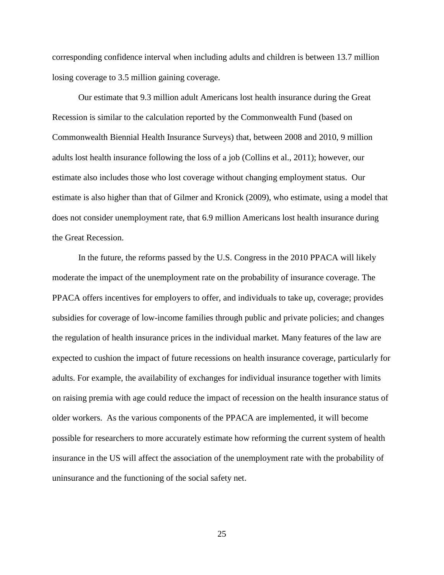corresponding confidence interval when including adults and children is between 13.7 million losing coverage to 3.5 million gaining coverage.

Our estimate that 9.3 million adult Americans lost health insurance during the Great Recession is similar to the calculation reported by the Commonwealth Fund (based on Commonwealth Biennial Health Insurance Surveys) that, between 2008 and 2010, 9 million adults lost health insurance following the loss of a job (Collins et al., 2011); however, our estimate also includes those who lost coverage without changing employment status. Our estimate is also higher than that of Gilmer and Kronick (2009), who estimate, using a model that does not consider unemployment rate, that 6.9 million Americans lost health insurance during the Great Recession.

In the future, the reforms passed by the U.S. Congress in the 2010 PPACA will likely moderate the impact of the unemployment rate on the probability of insurance coverage. The PPACA offers incentives for employers to offer, and individuals to take up, coverage; provides subsidies for coverage of low-income families through public and private policies; and changes the regulation of health insurance prices in the individual market. Many features of the law are expected to cushion the impact of future recessions on health insurance coverage, particularly for adults. For example, the availability of exchanges for individual insurance together with limits on raising premia with age could reduce the impact of recession on the health insurance status of older workers. As the various components of the PPACA are implemented, it will become possible for researchers to more accurately estimate how reforming the current system of health insurance in the US will affect the association of the unemployment rate with the probability of uninsurance and the functioning of the social safety net.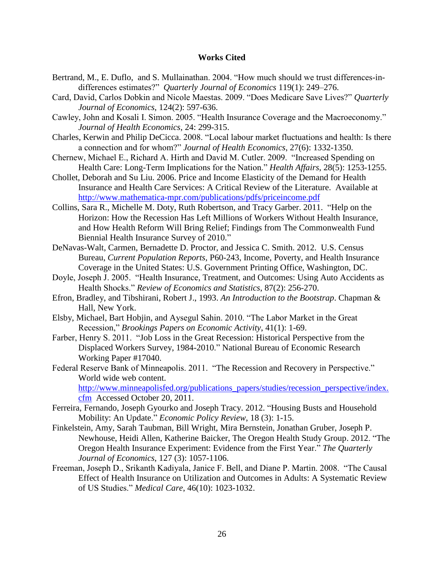## **Works Cited**

- Bertrand, M., E. Duflo, and S. Mullainathan. 2004. "How much should we trust differences-indifferences estimates?" *Quarterly Journal of Economics* 119(1): 249–276.
- Card, David, Carlos Dobkin and Nicole Maestas. 2009. "Does Medicare Save Lives?" *Quarterly Journal of Economics*, 124(2): 597-636.
- Cawley, John and Kosali I. Simon. 2005. "Health Insurance Coverage and the Macroeconomy." *Journal of Health Economics*, 24: 299-315.
- Charles, Kerwin and Philip DeCicca. 2008. "Local labour market fluctuations and health: Is there a connection and for whom?" *Journal of Health Economics*, 27(6): 1332-1350.
- Chernew, Michael E., Richard A. Hirth and David M. Cutler. 2009. "Increased Spending on Health Care: Long-Term Implications for the Nation." *Health Affairs*, 28(5): 1253-1255.
- Chollet, Deborah and Su Liu. 2006. Price and Income Elasticity of the Demand for Health Insurance and Health Care Services: A Critical Review of the Literature. Available at <http://www.mathematica-mpr.com/publications/pdfs/priceincome.pdf>
- Collins, Sara R., Michelle M. Doty, Ruth Robertson, and Tracy Garber. 2011. "Help on the Horizon: How the Recession Has Left Millions of Workers Without Health Insurance, and How Health Reform Will Bring Relief; Findings from The Commonwealth Fund Biennial Health Insurance Survey of 2010."
- DeNavas-Walt, Carmen, Bernadette D. Proctor, and Jessica C. Smith. 2012. U.S. Census Bureau, *Current Population Reports*, P60-243, Income, Poverty, and Health Insurance Coverage in the United States: U.S. Government Printing Office, Washington, DC.
- Doyle, Joseph J. 2005. "Health Insurance, Treatment, and Outcomes: Using Auto Accidents as Health Shocks." *Review of Economics and Statistics*, 87(2): 256-270.
- Efron, Bradley, and Tibshirani, Robert J., 1993. *An Introduction to the Bootstrap*. Chapman & Hall, New York.
- Elsby, Michael, Bart Hobjin, and Aysegul Sahin. 2010. "The Labor Market in the Great Recession," *Brookings Papers on Economic Activity*, 41(1): 1-69.
- Farber, Henry S. 2011. "Job Loss in the Great Recession: Historical Perspective from the Displaced Workers Survey, 1984-2010." National Bureau of Economic Research Working Paper #17040.
- Federal Reserve Bank of Minneapolis. 2011. "The Recession and Recovery in Perspective." World wide web content.

[http://www.minneapolisfed.org/publications\\_papers/studies/recession\\_perspective/index.](http://www.minneapolisfed.org/publications_papers/studies/recession_perspective/index.cfm) [cfm](http://www.minneapolisfed.org/publications_papers/studies/recession_perspective/index.cfm) Accessed October 20, 2011.

- Ferreira, Fernando, Joseph Gyourko and Joseph Tracy. 2012. "Housing Busts and Household Mobility: An Update." *Economic Policy Review*, 18 (3): 1-15.
- Finkelstein, Amy, Sarah Taubman, Bill Wright, Mira Bernstein, Jonathan Gruber, Joseph P. Newhouse, Heidi Allen, Katherine Baicker, The Oregon Health Study Group. 2012. "The Oregon Health Insurance Experiment: Evidence from the First Year." *The Quarterly Journal of Economics*, 127 (3): 1057-1106.
- Freeman, Joseph D., Srikanth Kadiyala, Janice F. Bell, and Diane P. Martin. 2008. "The Causal Effect of Health Insurance on Utilization and Outcomes in Adults: A Systematic Review of US Studies." *Medical Care*, 46(10): 1023-1032.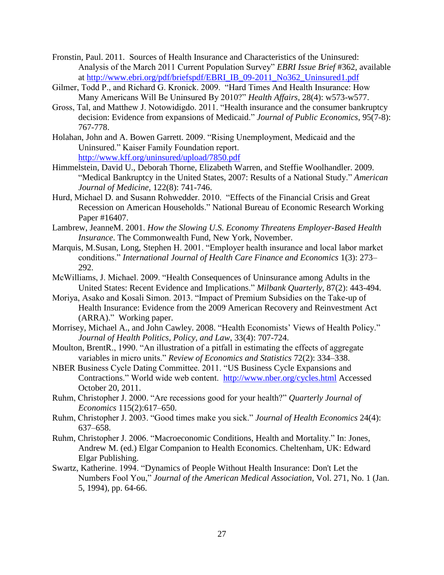- Fronstin, Paul. 2011. Sources of Health Insurance and Characteristics of the Uninsured: Analysis of the March 2011 Current Population Survey" *EBRI Issue Brief* #362, available at [http://www.ebri.org/pdf/briefspdf/EBRI\\_IB\\_09-2011\\_No362\\_Uninsured1.pdf](http://www.ebri.org/pdf/briefspdf/EBRI_IB_09-2011_No362_Uninsured1.pdf)
- Gilmer, Todd P., and Richard G. Kronick. 2009. "Hard Times And Health Insurance: How Many Americans Will Be Uninsured By 2010?" *Health Affairs*, 28(4): w573-w577.
- Gross, Tal, and Matthew J. Notowidigdo. 2011. "Health insurance and the consumer bankruptcy decision: Evidence from expansions of Medicaid." *Journal of Public Economics*, 95(7-8): 767-778.
- Holahan, John and A. Bowen Garrett. 2009. "Rising Unemployment, Medicaid and the Uninsured." Kaiser Family Foundation report. <http://www.kff.org/uninsured/upload/7850.pdf>
- Himmelstein, David U., Deborah Thorne, Elizabeth Warren, and Steffie Woolhandler. 2009. "Medical Bankruptcy in the United States, 2007: Results of a National Study." *American Journal of Medicine*, 122(8): 741-746.
- Hurd, Michael D. and Susann Rohwedder. 2010. "Effects of the Financial Crisis and Great Recession on American Households." National Bureau of Economic Research Working Paper #16407.
- Lambrew, JeanneM. 2001. *How the Slowing U.S. Economy Threatens Employer-Based Health Insurance*. The Commonwealth Fund, New York, November.
- Marquis, M.Susan, Long, Stephen H. 2001. "Employer health insurance and local labor market conditions." *International Journal of Health Care Finance and Economics* 1(3): 273– 292.
- McWilliams, J. Michael. 2009. "Health Consequences of Uninsurance among Adults in the United States: Recent Evidence and Implications." *Milbank Quarterly*, 87(2): 443-494.
- Moriya, Asako and Kosali Simon. 2013. "Impact of Premium Subsidies on the Take-up of Health Insurance: Evidence from the 2009 American Recovery and Reinvestment Act (ARRA)." Working paper.
- Morrisey, Michael A., and John Cawley. 2008. "Health Economists' Views of Health Policy." *Journal of Health Politics, Policy, and Law*, 33(4): 707-724.
- Moulton, BrentR., 1990. "An illustration of a pitfall in estimating the effects of aggregate variables in micro units." *Review of Economics and Statistics* 72(2): 334–338.
- NBER Business Cycle Dating Committee. 2011. "US Business Cycle Expansions and Contractions." World wide web content. <http://www.nber.org/cycles.html> Accessed October 20, 2011.
- Ruhm, Christopher J. 2000. "Are recessions good for your health?" *Quarterly Journal of Economics* 115(2):617–650.
- Ruhm, Christopher J. 2003. "Good times make you sick." *Journal of Health Economics* 24(4): 637–658.
- Ruhm, Christopher J. 2006. "Macroeconomic Conditions, Health and Mortality." In: Jones, Andrew M. (ed.) Elgar Companion to Health Economics. Cheltenham, UK: Edward Elgar Publishing.
- Swartz, Katherine. 1994. "Dynamics of People Without Health Insurance: Don't Let the Numbers Fool You," *Journal of the American Medical Association*, Vol. 271, No. 1 (Jan. 5, 1994), pp. 64-66.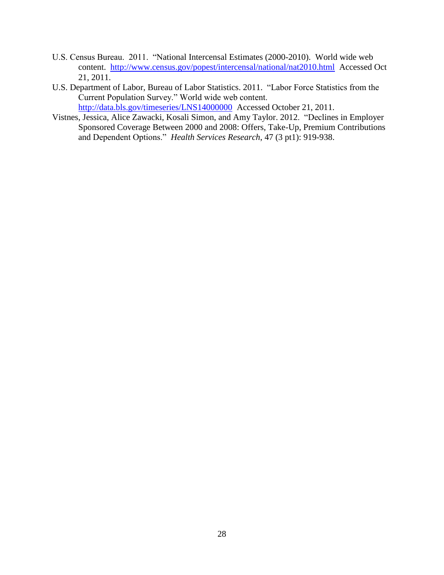- U.S. Census Bureau. 2011. "National Intercensal Estimates (2000-2010). World wide web content. <http://www.census.gov/popest/intercensal/national/nat2010.html>Accessed Oct 21, 2011.
- U.S. Department of Labor, Bureau of Labor Statistics. 2011. "Labor Force Statistics from the Current Population Survey." World wide web content. <http://data.bls.gov/timeseries/LNS14000000>Accessed October 21, 2011.
- Vistnes, Jessica, Alice Zawacki, Kosali Simon, and Amy Taylor. 2012. "Declines in Employer Sponsored Coverage Between 2000 and 2008: Offers, Take-Up, Premium Contributions and Dependent Options." *Health Services Research*, 47 (3 pt1): 919-938.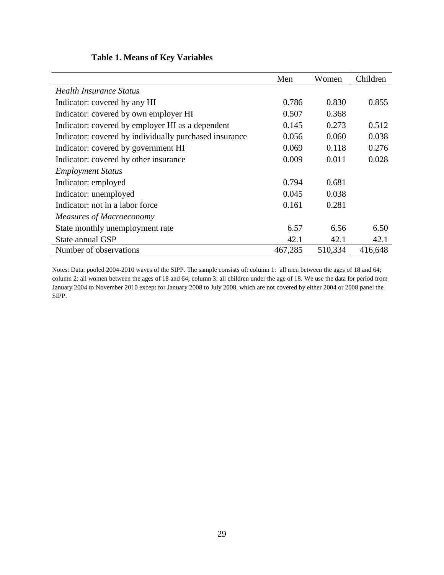# **Table 1. Means of Key Variables**

|                                                        | Men     | Women   | Children |
|--------------------------------------------------------|---------|---------|----------|
| <b>Health Insurance Status</b>                         |         |         |          |
| Indicator: covered by any HI                           | 0.786   | 0.830   | 0.855    |
| Indicator: covered by own employer HI                  | 0.507   | 0.368   |          |
| Indicator: covered by employer HI as a dependent       | 0.145   | 0.273   | 0.512    |
| Indicator: covered by individually purchased insurance | 0.056   | 0.060   | 0.038    |
| Indicator: covered by government HI                    | 0.069   | 0.118   | 0.276    |
| Indicator: covered by other insurance                  | 0.009   | 0.011   | 0.028    |
| <b>Employment Status</b>                               |         |         |          |
| Indicator: employed                                    | 0.794   | 0.681   |          |
| Indicator: unemployed                                  | 0.045   | 0.038   |          |
| Indicator: not in a labor force                        | 0.161   | 0.281   |          |
| <b>Measures of Macroeconomy</b>                        |         |         |          |
| State monthly unemployment rate                        | 6.57    | 6.56    | 6.50     |
| State annual GSP                                       | 42.1    | 42.1    | 42.1     |
| Number of observations                                 | 467,285 | 510,334 | 416,648  |

Notes: Data: pooled 2004-2010 waves of the SIPP. The sample consists of: column 1: all men between the ages of 18 and 64; column 2: all women between the ages of 18 and 64; column 3: all children under the age of 18. We use the data for period from January 2004 to November 2010 except for January 2008 to July 2008, which are not covered by either 2004 or 2008 panel the SIPP.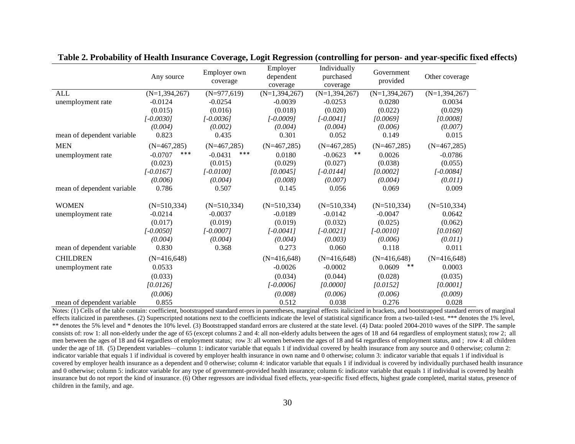|                            | Any source         | Employer own<br>coverage | Employer<br>dependent<br>coverage | Individually<br>purchased<br>coverage | Government<br>provided | Other coverage    |
|----------------------------|--------------------|--------------------------|-----------------------------------|---------------------------------------|------------------------|-------------------|
| <b>ALL</b>                 | $(N=1,394,267)$    | $(N=977,619)$            | $(N=1, 394, 267)$                 | $(N=1, 394, 267)$                     | $(N=1, 394, 267)$      | $(N=1, 394, 267)$ |
| unemployment rate          | $-0.0124$          | $-0.0254$                | $-0.0039$                         | $-0.0253$                             | 0.0280                 | 0.0034            |
|                            | (0.015)            | (0.016)                  | (0.018)                           | (0.020)                               | (0.022)                | (0.029)           |
|                            | $[-0.0030]$        | $[-0.0036]$              | $[-0.0009]$                       | $[-0.0041]$                           | [0.0069]               | [0.0008]          |
|                            | (0.004)            | (0.002)                  | (0.004)                           | (0.004)                               | (0.006)                | (0.007)           |
| mean of dependent variable | 0.823              | 0.435                    | 0.301                             | 0.052                                 | 0.149                  | 0.015             |
| <b>MEN</b>                 | $(N=467,285)$      | $(N=467,285)$            | $(N=467,285)$                     | $(N=467,285)$                         | $(N=467,285)$          | $(N=467,285)$     |
| unemployment rate          | $***$<br>$-0.0707$ | ***<br>$-0.0431$         | 0.0180                            | $-0.0623$<br>$***$                    | 0.0026                 | $-0.0786$         |
|                            | (0.023)            | (0.015)                  | (0.029)                           | (0.027)                               | (0.038)                | (0.055)           |
|                            | $[-0.0167]$        | $[-0.0100]$              | [0.0045]                          | $[-0.0144]$                           | [0.0002]               | $[-0.0084]$       |
|                            | (0.006)            | (0.004)                  | (0.008)                           | (0.007)                               | (0.004)                | (0.011)           |
| mean of dependent variable | 0.786              | 0.507                    | 0.145                             | 0.056                                 | 0.069                  | 0.009             |
| <b>WOMEN</b>               | $(N=510, 334)$     | $(N=510,334)$            | $(N=510,334)$                     | $(N=510,334)$                         | $(N=510,334)$          | $(N=510,334)$     |
| unemployment rate          | $-0.0214$          | $-0.0037$                | $-0.0189$                         | $-0.0142$                             | $-0.0047$              | 0.0642            |
|                            | (0.017)            | (0.019)                  | (0.019)                           | (0.032)                               | (0.025)                | (0.062)           |
|                            | $[-0.0050]$        | $[-0.0007]$              | $[-0.0041]$                       | $[-0.0021]$                           | $[-0.0010]$            | [0.0160]          |
|                            | (0.004)            | (0.004)                  | (0.004)                           | (0.003)                               | (0.006)                | (0.011)           |
| mean of dependent variable | 0.830              | 0.368                    | 0.273                             | 0.060                                 | 0.118                  | 0.011             |
| <b>CHILDREN</b>            | $(N=416,648)$      |                          | $(N=416,648)$                     | $(N=416,648)$                         | $(N=416,648)$          | $(N=416,648)$     |
| unemployment rate          | 0.0533             |                          | $-0.0026$                         | $-0.0002$                             | $***$<br>0.0609        | 0.0003            |
|                            | (0.033)            |                          | (0.034)                           | (0.044)                               | (0.028)                | (0.035)           |
|                            | [0.0126]           |                          | $[-0.0006]$                       | [0.0000]                              | [0.0152]               | [0.0001]          |
|                            | (0.006)            |                          | (0.008)                           | (0.006)                               | (0.006)                | (0.009)           |
| mean of dependent variable | 0.855              |                          | 0.512                             | 0.038                                 | 0.276                  | 0.028             |

**Table 2. Probability of Health Insurance Coverage, Logit Regression (controlling for person- and year-specific fixed effects)** 

Notes: (1) Cells of the table contain: coefficient, bootstrapped standard errors in parentheses, marginal effects italicized in brackets, and bootstrapped standard errors of marginal effects italicized in parentheses. (2) Superscripted notations next to the coefficients indicate the level of statistical significance from a two-tailed t-test. \*\*\* denotes the 1% level, \*\* denotes the 5% level and \* denotes the 10% level. (3) Bootstrapped standard errors are clustered at the state level. (4) Data: pooled 2004-2010 waves of the SIPP. The sample consists of: row 1: all non-elderly under the age of 65 (except columns 2 and 4: all non-elderly adults between the ages of 18 and 64 regardless of employment status); row 2; all men between the ages of 18 and 64 regardless of employment status; row 3: all women between the ages of 18 and 64 regardless of employment status, and ; row 4: all children under the age of 18. (5) Dependent variables—column 1: indicator variable that equals 1 if individual covered by health insurance from any source and 0 otherwise; column 2: indicator variable that equals 1 if individual is covered by employer health insurance in own name and 0 otherwise; column 3: indicator variable that equals 1 if individual is covered by employer health insurance as a dependent and 0 otherwise; column 4: indicator variable that equals 1 if individual is covered by individually purchased health insurance and 0 otherwise; column 5: indicator variable for any type of government-provided health insurance; column 6: indicator variable that equals 1 if individual is covered by health insurance but do not report the kind of insurance. (6) Other regressors are individual fixed effects, year-specific fixed effects, highest grade completed, marital status, presence of children in the family, and age.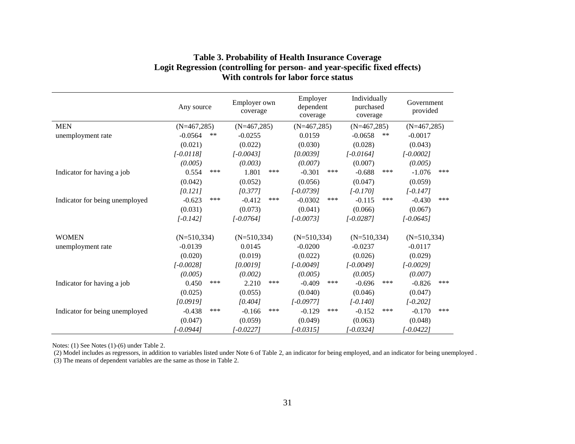|                                | Any source         | Employer own<br>coverage | Employer<br>dependent<br>coverage | Individually<br>purchased<br>coverage | Government<br>provided |
|--------------------------------|--------------------|--------------------------|-----------------------------------|---------------------------------------|------------------------|
| <b>MEN</b>                     | $(N=467,285)$      | $(N=467,285)$            | $(N=467,285)$                     | $(N=467,285)$                         | $(N=467,285)$          |
| unemployment rate              | $-0.0564$<br>$***$ | $-0.0255$                | 0.0159                            | $-0.0658$<br>$***$                    | $-0.0017$              |
|                                | (0.021)            | (0.022)                  | (0.030)                           | (0.028)                               | (0.043)                |
|                                | $[-0.0118]$        | $[-0.0043]$              | [0.0039]                          | $[-0.0164]$                           | $[-0.0002]$            |
|                                | (0.005)            | (0.003)                  | (0.007)                           | (0.007)                               | (0.005)                |
| Indicator for having a job     | 0.554<br>***       | 1.801<br>***             | $-0.301$<br>***                   | $-0.688$<br>***                       | $-1.076$<br>***        |
|                                | (0.042)            | (0.052)                  | (0.056)                           | (0.047)                               | (0.059)                |
|                                | [0.121]            | [0.377]                  | $[-0.0739]$                       | $[-0.170]$                            | $[-0.147]$             |
| Indicator for being unemployed | ***<br>$-0.623$    | ***<br>$-0.412$          | $-0.0302$<br>***                  | $-0.115$<br>***                       | $-0.430$<br>***        |
|                                | (0.031)            | (0.073)                  | (0.041)                           | (0.066)                               | (0.067)                |
|                                | $[-0.142]$         | $[-0.0764]$              | $[-0.0073]$                       | $[-0.0287]$                           | $[-0.0645]$            |
| <b>WOMEN</b>                   | $(N=510,334)$      | $(N=510,334)$            | $(N=510,334)$                     | $(N=510,334)$                         | $(N=510,334)$          |
| unemployment rate              | $-0.0139$          | 0.0145                   | $-0.0200$                         | $-0.0237$                             | $-0.0117$              |
|                                | (0.020)            | (0.019)                  | (0.022)                           | (0.026)                               | (0.029)                |
|                                | $[-0.0028]$        | [0.0019]                 | $[-0.0049]$                       | $[-0.0049]$                           | $[-0.0029]$            |
|                                | (0.005)            | (0.002)                  | (0.005)                           | (0.005)                               | (0.007)                |
| Indicator for having a job     | 0.450<br>***       | 2.210<br>***             | $-0.409$<br>***                   | $-0.696$<br>***                       | $-0.826$<br>***        |
|                                | (0.025)            | (0.055)                  | (0.040)                           | (0.046)                               | (0.047)                |
|                                | [0.0919]           | [0.404]                  | $[-0.0977]$                       | $[-0.140]$                            | $[-0.202]$             |
| Indicator for being unemployed | $-0.438$<br>***    | ***<br>$-0.166$          | $-0.129$<br>***                   | $-0.152$<br>***                       | $-0.170$<br>***        |
|                                | (0.047)            | (0.059)                  | (0.049)                           | (0.063)                               | (0.048)                |
|                                | $[-0.0944]$        | $[-0.0227]$              | $[-0.0315]$                       | $[-0.0324]$                           | $[-0.0422]$            |

# **Table 3. Probability of Health Insurance Coverage Logit Regression (controlling for person- and year-specific fixed effects) With controls for labor force status**

Notes: (1) See Notes (1)-(6) under Table 2.

(2) Model includes as regressors, in addition to variables listed under Note 6 of Table 2, an indicator for being employed, and an indicator for being unemployed .

(3) The means of dependent variables are the same as those in Table 2.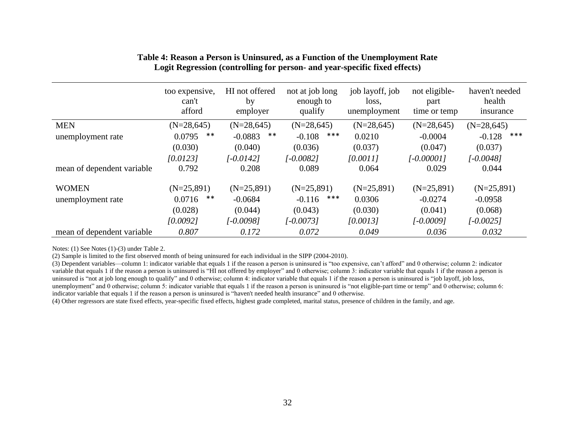|                            | too expensive,<br>can't<br>afford | HI not offered<br>by<br>employer | not at job long<br>enough to<br>qualify | job layoff, job<br>loss,<br>unemployment | not eligible-<br>part<br>time or temp | haven't needed<br>health<br>insurance |
|----------------------------|-----------------------------------|----------------------------------|-----------------------------------------|------------------------------------------|---------------------------------------|---------------------------------------|
| <b>MEN</b>                 | $(N=28,645)$                      | $(N=28,645)$                     | $(N=28, 645)$                           | $(N=28,645)$                             | $(N=28,645)$                          | $(N=28,645)$                          |
| unemployment rate          | **<br>0.0795                      | $***$<br>$-0.0883$               | ***<br>$-0.108$                         | 0.0210                                   | $-0.0004$                             | ***<br>$-0.128$                       |
|                            | (0.030)                           | (0.040)                          | (0.036)                                 | (0.037)                                  | (0.047)                               | (0.037)                               |
|                            | [0.0123]                          | [-0.0142]                        | $[-0.0082]$                             | [0.0011]                                 | $[-0.00001]$                          | $[-0.0048]$                           |
| mean of dependent variable | 0.792                             | 0.208                            | 0.089                                   | 0.064                                    | 0.029                                 | 0.044                                 |
| <b>WOMEN</b>               | $(N=25,891)$                      | $(N=25,891)$                     | $(N=25,891)$                            | $(N=25,891)$                             | $(N=25,891)$                          | $(N=25,891)$                          |
| unemployment rate          | **<br>0.0716                      | $-0.0684$                        | ***<br>$-0.116$                         | 0.0306                                   | $-0.0274$                             | $-0.0958$                             |
|                            | (0.028)                           | (0.044)                          | (0.043)                                 | (0.030)                                  | (0.041)                               | (0.068)                               |
|                            | [0.0092]                          | $[-0.0098]$                      | $[-0.0073]$                             | [0.0013]                                 | $[-0.0009]$                           | $[-0.0025]$                           |
| mean of dependent variable | 0.807                             | 0.172                            | 0.072                                   | 0.049                                    | 0.036                                 | 0.032                                 |

## **Table 4: Reason a Person is Uninsured, as a Function of the Unemployment Rate Logit Regression (controlling for person- and year-specific fixed effects)**

Notes: (1) See Notes (1)-(3) under Table 2.

(2) Sample is limited to the first observed month of being uninsured for each individual in the SIPP (2004-2010).

(3) Dependent variables—column 1: indicator variable that equals 1 if the reason a person is uninsured is "too expensive, can't afford" and 0 otherwise; column 2: indicator variable that equals 1 if the reason a person is uninsured is "HI not offered by employer" and 0 otherwise; column 3: indicator variable that equals 1 if the reason a person is uninsured is "not at job long enough to qualify" and 0 otherwise; column 4: indicator variable that equals 1 if the reason a person is uninsured is "job layoff, job loss, unemployment" and 0 otherwise; column 5: indicator variable that equals 1 if the reason a person is uninsured is "not eligible-part time or temp" and 0 otherwise; column 6: indicator variable that equals 1 if the reason a person is uninsured is "haven't needed health insurance" and 0 otherwise.

(4) Other regressors are state fixed effects, year-specific fixed effects, highest grade completed, marital status, presence of children in the family, and age.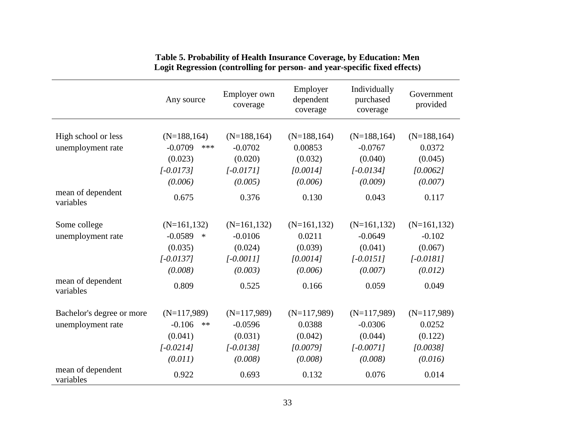|                                | Any source             | Employer own<br>coverage | Employer<br>dependent<br>coverage | Individually<br>purchased<br>coverage | Government<br>provided |
|--------------------------------|------------------------|--------------------------|-----------------------------------|---------------------------------------|------------------------|
|                                | $(N=188, 164)$         | $(N=188, 164)$           | $(N=188, 164)$                    | $(N=188, 164)$                        | $(N=188, 164)$         |
| High school or less            | $-0.0709$<br>***       | $-0.0702$                | 0.00853                           | $-0.0767$                             | 0.0372                 |
| unemployment rate              |                        |                          |                                   |                                       |                        |
|                                | (0.023)                | (0.020)                  | (0.032)                           | (0.040)                               | (0.045)                |
|                                | $[-0.0173]$            | $[-0.0171]$              | [0.0014]                          | $[-0.0134]$                           | [0.0062]               |
|                                | (0.006)                | (0.005)                  | (0.006)                           | (0.009)                               | (0.007)                |
| mean of dependent<br>variables | 0.675                  | 0.376                    | 0.130                             | 0.043                                 | 0.117                  |
| Some college                   | $(N=161, 132)$         | $(N=161, 132)$           | $(N=161, 132)$                    | $(N=161, 132)$                        | $(N=161, 132)$         |
| unemployment rate              | $-0.0589$<br>$\ast$    | $-0.0106$                | 0.0211                            | $-0.0649$                             | $-0.102$               |
|                                | (0.035)                | (0.024)                  | (0.039)                           | (0.041)                               | (0.067)                |
|                                | $[-0.0137]$            | $[-0.0011]$              | [0.0014]                          | $[-0.0151]$                           | $[-0.0181]$            |
|                                | (0.008)                | (0.003)                  | (0.006)                           | (0.007)                               | (0.012)                |
| mean of dependent<br>variables | 0.809                  | 0.525                    | 0.166                             | 0.059                                 | 0.049                  |
| Bachelor's degree or more      | $(N=117,989)$          | $(N=117,989)$            | $(N=117,989)$                     | $(N=117,989)$                         | $(N=117,989)$          |
| unemployment rate              | $-0.106$<br>$\ast\ast$ | $-0.0596$                | 0.0388                            | $-0.0306$                             | 0.0252                 |
|                                | (0.041)                | (0.031)                  | (0.042)                           | (0.044)                               | (0.122)                |
|                                | $[-0.0214]$            | $[-0.0138]$              | [0.0079]                          | $[-0.0071]$                           | [0.0038]               |
|                                | (0.011)                | (0.008)                  | (0.008)                           | (0.008)                               | (0.016)                |
| mean of dependent<br>variables | 0.922                  | 0.693                    | 0.132                             | 0.076                                 | 0.014                  |

## **Table 5. Probability of Health Insurance Coverage, by Education: Men Logit Regression (controlling for person- and year-specific fixed effects)**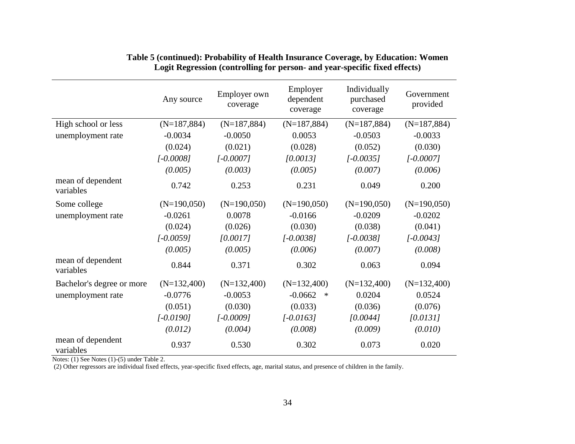|                                | Any source     | Employer own<br>coverage | Employer<br>dependent<br>coverage | Individually<br>purchased<br>coverage | Government<br>provided |
|--------------------------------|----------------|--------------------------|-----------------------------------|---------------------------------------|------------------------|
| High school or less            | $(N=187, 884)$ | $(N=187, 884)$           | $(N=187, 884)$                    | $(N=187, 884)$                        | $(N=187, 884)$         |
| unemployment rate              | $-0.0034$      | $-0.0050$                | 0.0053                            | $-0.0503$                             | $-0.0033$              |
|                                | (0.024)        | (0.021)                  | (0.028)                           | (0.052)                               | (0.030)                |
|                                | $[-0.0008]$    | $[-0.0007]$              | [0.0013]                          | $[-0.0035]$                           | $[-0.0007]$            |
|                                | (0.005)        | (0.003)                  | (0.005)                           | (0.007)                               | (0.006)                |
| mean of dependent<br>variables | 0.742          | 0.253                    | 0.231                             | 0.049                                 | 0.200                  |
| Some college                   | $(N=190,050)$  | $(N=190,050)$            | $(N=190,050)$                     | $(N=190,050)$                         | $(N=190,050)$          |
| unemployment rate              | $-0.0261$      | 0.0078                   | $-0.0166$                         | $-0.0209$                             | $-0.0202$              |
|                                | (0.024)        | (0.026)                  | (0.030)                           | (0.038)                               | (0.041)                |
|                                | $[-0.0059]$    | [0.0017]                 | $[-0.0038]$                       | $[-0.0038]$                           | $[-0.0043]$            |
|                                | (0.005)        | (0.005)                  | (0.006)                           | (0.007)                               | (0.008)                |
| mean of dependent<br>variables | 0.844          | 0.371                    | 0.302                             | 0.063                                 | 0.094                  |
| Bachelor's degree or more      | $(N=132,400)$  | $(N=132,400)$            | $(N=132,400)$                     | $(N=132,400)$                         | $(N=132,400)$          |
| unemployment rate              | $-0.0776$      | $-0.0053$                | $-0.0662$<br>$\ast$               | 0.0204                                | 0.0524                 |
|                                | (0.051)        | (0.030)                  | (0.033)                           | (0.036)                               | (0.076)                |
|                                | $[-0.0190]$    | $[-0.0009]$              | $[-0.0163]$                       | [0.0044]                              | [0.0131]               |
|                                | (0.012)        | (0.004)                  | (0.008)                           | (0.009)                               | (0.010)                |
| mean of dependent<br>variables | 0.937          | 0.530                    | 0.302                             | 0.073                                 | 0.020                  |

# **Table 5 (continued): Probability of Health Insurance Coverage, by Education: Women Logit Regression (controlling for person- and year-specific fixed effects)**

Notes: (1) See Notes (1)-(5) under Table 2.

(2) Other regressors are individual fixed effects, year-specific fixed effects, age, marital status, and presence of children in the family.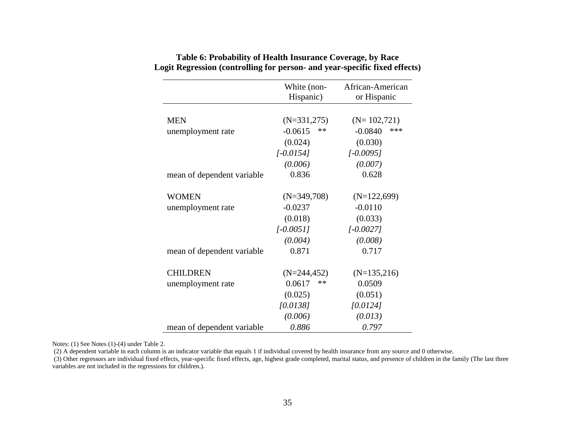|                            | White (non-<br>Hispanic) | African-American<br>or Hispanic |
|----------------------------|--------------------------|---------------------------------|
|                            |                          |                                 |
| <b>MEN</b>                 | $(N=331,275)$            | $(N=102,721)$                   |
| unemployment rate          | $-0.0615$<br>**          | ***<br>$-0.0840$                |
|                            | (0.024)                  | (0.030)                         |
|                            | $[-0.0154]$              | $[-0.0095]$                     |
|                            | (0.006)                  | (0.007)                         |
| mean of dependent variable | 0.836                    | 0.628                           |
| <b>WOMEN</b>               | $(N=349,708)$            | $(N=122,699)$                   |
| unemployment rate          | $-0.0237$                | $-0.0110$                       |
|                            | (0.018)                  | (0.033)                         |
|                            | $[-0.0051]$              | $[-0.0027]$                     |
|                            | (0.004)                  | (0.008)                         |
| mean of dependent variable | 0.871                    | 0.717                           |
| <b>CHILDREN</b>            | $(N=244, 452)$           | $(N=135,216)$                   |
| unemployment rate          | 0.0617<br>∗∗             | 0.0509                          |
|                            | (0.025)                  | (0.051)                         |
|                            | [0.0138]                 | [0.0124]                        |
|                            | (0.006)                  | (0.013)                         |
| mean of dependent variable | 0.886                    | 0.797                           |

# **Table 6: Probability of Health Insurance Coverage, by Race Logit Regression (controlling for person- and year-specific fixed effects)**

Notes: (1) See Notes (1)-(4) under Table 2.

(2) A dependent variable in each column is an indicator variable that equals 1 if individual covered by health insurance from any source and 0 otherwise.

 (3) Other regressors are individual fixed effects, year-specific fixed effects, age, highest grade completed, marital status, and presence of children in the family (The last three variables are not included in the regressions for children.).